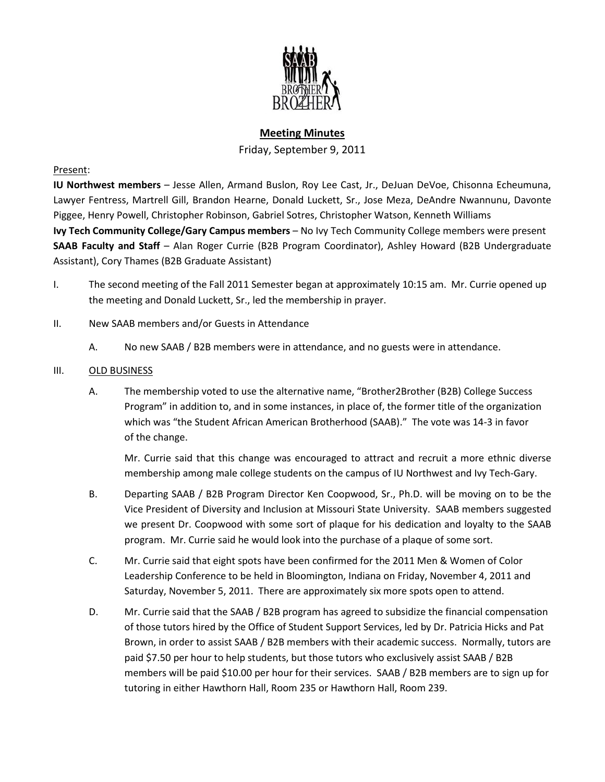

# **Meeting Minutes**

Friday, September 9, 2011

### Present:

**IU Northwest members** – Jesse Allen, Armand Buslon, Roy Lee Cast, Jr., DeJuan DeVoe, Chisonna Echeumuna, Lawyer Fentress, Martrell Gill, Brandon Hearne, Donald Luckett, Sr., Jose Meza, DeAndre Nwannunu, Davonte Piggee, Henry Powell, Christopher Robinson, Gabriel Sotres, Christopher Watson, Kenneth Williams **Ivy Tech Community College/Gary Campus members** – No Ivy Tech Community College members were present **SAAB Faculty and Staff** – Alan Roger Currie (B2B Program Coordinator), Ashley Howard (B2B Undergraduate Assistant), Cory Thames (B2B Graduate Assistant)

- I. The second meeting of the Fall 2011 Semester began at approximately 10:15 am. Mr. Currie opened up the meeting and Donald Luckett, Sr., led the membership in prayer.
- II. New SAAB members and/or Guests in Attendance
	- A. No new SAAB / B2B members were in attendance, and no guests were in attendance.

### III. OLD BUSINESS

A. The membership voted to use the alternative name, "Brother2Brother (B2B) College Success Program" in addition to, and in some instances, in place of, the former title of the organization which was "the Student African American Brotherhood (SAAB)." The vote was 14-3 in favor of the change.

Mr. Currie said that this change was encouraged to attract and recruit a more ethnic diverse membership among male college students on the campus of IU Northwest and Ivy Tech-Gary.

- B. Departing SAAB / B2B Program Director Ken Coopwood, Sr., Ph.D. will be moving on to be the Vice President of Diversity and Inclusion at Missouri State University. SAAB members suggested we present Dr. Coopwood with some sort of plaque for his dedication and loyalty to the SAAB program. Mr. Currie said he would look into the purchase of a plaque of some sort.
- C. Mr. Currie said that eight spots have been confirmed for the 2011 Men & Women of Color Leadership Conference to be held in Bloomington, Indiana on Friday, November 4, 2011 and Saturday, November 5, 2011. There are approximately six more spots open to attend.
- D. Mr. Currie said that the SAAB / B2B program has agreed to subsidize the financial compensation of those tutors hired by the Office of Student Support Services, led by Dr. Patricia Hicks and Pat Brown, in order to assist SAAB / B2B members with their academic success. Normally, tutors are paid \$7.50 per hour to help students, but those tutors who exclusively assist SAAB / B2B members will be paid \$10.00 per hour for their services. SAAB / B2B members are to sign up for tutoring in either Hawthorn Hall, Room 235 or Hawthorn Hall, Room 239.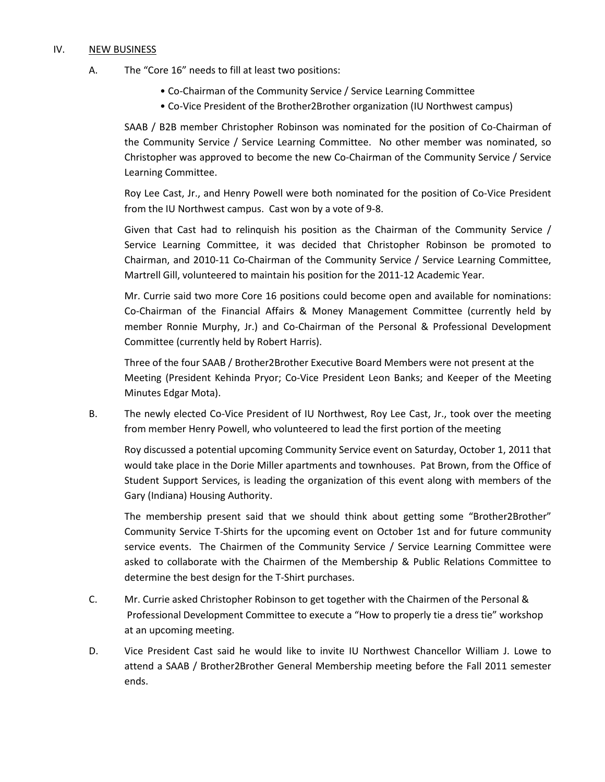#### IV. NEW BUSINESS

- A. The "Core 16" needs to fill at least two positions:
	- Co-Chairman of the Community Service / Service Learning Committee
	- Co-Vice President of the Brother2Brother organization (IU Northwest campus)

SAAB / B2B member Christopher Robinson was nominated for the position of Co-Chairman of the Community Service / Service Learning Committee. No other member was nominated, so Christopher was approved to become the new Co-Chairman of the Community Service / Service Learning Committee.

Roy Lee Cast, Jr., and Henry Powell were both nominated for the position of Co-Vice President from the IU Northwest campus. Cast won by a vote of 9-8.

Given that Cast had to relinquish his position as the Chairman of the Community Service / Service Learning Committee, it was decided that Christopher Robinson be promoted to Chairman, and 2010-11 Co-Chairman of the Community Service / Service Learning Committee, Martrell Gill, volunteered to maintain his position for the 2011-12 Academic Year.

Mr. Currie said two more Core 16 positions could become open and available for nominations: Co-Chairman of the Financial Affairs & Money Management Committee (currently held by member Ronnie Murphy, Jr.) and Co-Chairman of the Personal & Professional Development Committee (currently held by Robert Harris).

Three of the four SAAB / Brother2Brother Executive Board Members were not present at the Meeting (President Kehinda Pryor; Co-Vice President Leon Banks; and Keeper of the Meeting Minutes Edgar Mota).

B. The newly elected Co-Vice President of IU Northwest, Roy Lee Cast, Jr., took over the meeting from member Henry Powell, who volunteered to lead the first portion of the meeting

Roy discussed a potential upcoming Community Service event on Saturday, October 1, 2011 that would take place in the Dorie Miller apartments and townhouses. Pat Brown, from the Office of Student Support Services, is leading the organization of this event along with members of the Gary (Indiana) Housing Authority.

The membership present said that we should think about getting some "Brother2Brother" Community Service T-Shirts for the upcoming event on October 1st and for future community service events. The Chairmen of the Community Service / Service Learning Committee were asked to collaborate with the Chairmen of the Membership & Public Relations Committee to determine the best design for the T-Shirt purchases.

- C. Mr. Currie asked Christopher Robinson to get together with the Chairmen of the Personal & Professional Development Committee to execute a "How to properly tie a dress tie" workshop at an upcoming meeting.
- D. Vice President Cast said he would like to invite IU Northwest Chancellor William J. Lowe to attend a SAAB / Brother2Brother General Membership meeting before the Fall 2011 semester ends.